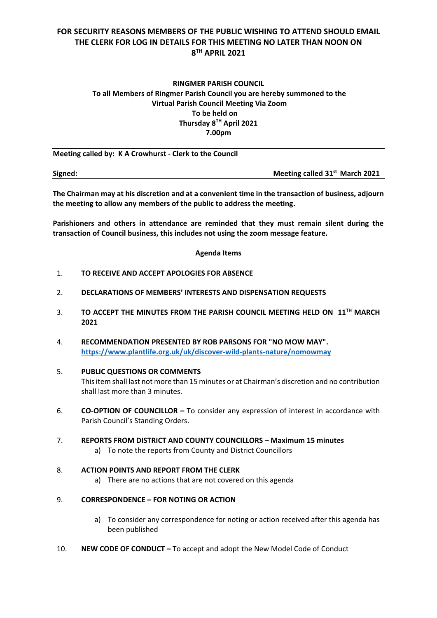# **FOR SECURITY REASONS MEMBERS OF THE PUBLIC WISHING TO ATTEND SHOULD EMAIL THE CLERK FOR LOG IN DETAILS FOR THIS MEETING NO LATER THAN NOON ON 8 TH APRIL 2021**

# **RINGMER PARISH COUNCIL To all Members of Ringmer Parish Council you are hereby summoned to the Virtual Parish Council Meeting Via Zoom To be held on Thursday 8 TH April 2021 7.00pm**

**Meeting called by: K A Crowhurst - Clerk to the Council** 

**Signed: Meeting called 31st March 2021**

**The Chairman may at his discretion and at a convenient time in the transaction of business, adjourn the meeting to allow any members of the public to address the meeting.**

**Parishioners and others in attendance are reminded that they must remain silent during the transaction of Council business, this includes not using the zoom message feature.**

#### **Agenda Items**

- 1. **TO RECEIVE AND ACCEPT APOLOGIES FOR ABSENCE**
- 2. **DECLARATIONS OF MEMBERS' INTERESTS AND DISPENSATION REQUESTS**
- 3. **TO ACCEPT THE MINUTES FROM THE PARISH COUNCIL MEETING HELD ON 11TH MARCH 2021**
- 4. **RECOMMENDATION PRESENTED BY ROB PARSONS FOR "NO MOW MAY". <https://www.plantlife.org.uk/uk/discover-wild-plants-nature/nomowmay>**
- 5. **PUBLIC QUESTIONS OR COMMENTS**  This item shall last not more than 15 minutes or at Chairman's discretion and no contribution shall last more than 3 minutes.
- 6. **CO-OPTION OF COUNCILLOR –** To consider any expression of interest in accordance with Parish Council's Standing Orders.
- 7. **REPORTS FROM DISTRICT AND COUNTY COUNCILLORS – Maximum 15 minutes**
	- a) To note the reports from County and District Councillors

### 8. **ACTION POINTS AND REPORT FROM THE CLERK**

a) There are no actions that are not covered on this agenda

#### 9. **CORRESPONDENCE – FOR NOTING OR ACTION**

- a) To consider any correspondence for noting or action received after this agenda has been published
- 10. **NEW CODE OF CONDUCT –** To accept and adopt the New Model Code of Conduct